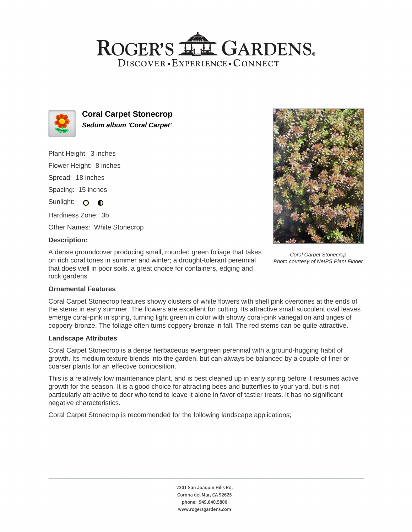## ROGER'S LL GARDENS. DISCOVER · EXPERIENCE · CONNECT



**Coral Carpet Stonecrop Sedum album 'Coral Carpet'**

Plant Height: 3 inches

Flower Height: 8 inches

Spread: 18 inches

Spacing: 15 inches

Sunlight: O **O** 

Hardiness Zone: 3b

Other Names: White Stonecrop

### **Description:**

A dense groundcover producing small, rounded green foliage that takes on rich coral tones in summer and winter; a drought-tolerant perennial that does well in poor soils, a great choice for containers, edging and rock gardens



Coral Carpet Stonecrop Photo courtesy of NetPS Plant Finder

### **Ornamental Features**

Coral Carpet Stonecrop features showy clusters of white flowers with shell pink overtones at the ends of the stems in early summer. The flowers are excellent for cutting. Its attractive small succulent oval leaves emerge coral-pink in spring, turning light green in color with showy coral-pink variegation and tinges of coppery-bronze. The foliage often turns coppery-bronze in fall. The red stems can be quite attractive.

### **Landscape Attributes**

Coral Carpet Stonecrop is a dense herbaceous evergreen perennial with a ground-hugging habit of growth. Its medium texture blends into the garden, but can always be balanced by a couple of finer or coarser plants for an effective composition.

This is a relatively low maintenance plant, and is best cleaned up in early spring before it resumes active growth for the season. It is a good choice for attracting bees and butterflies to your yard, but is not particularly attractive to deer who tend to leave it alone in favor of tastier treats. It has no significant negative characteristics.

Coral Carpet Stonecrop is recommended for the following landscape applications;

2301 San Joaquin Hills Rd. Corona del Mar, CA 92625 phone: 949.640.5800 www.rogersgardens.com